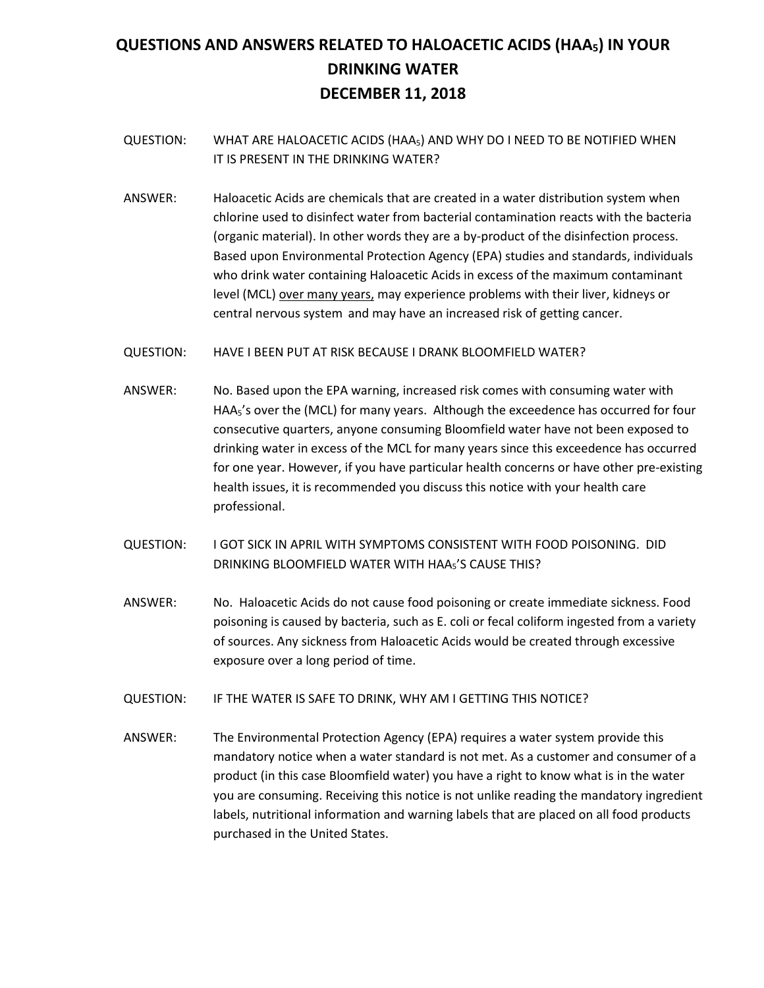# **QUESTIONS AND ANSWERS RELATED TO HALOACETIC ACIDS (HAA5) IN YOUR DRINKING WATER DECEMBER 11, 2018**

- QUESTION: WHAT ARE HALOACETIC ACIDS (HAA5) AND WHY DO I NEED TO BE NOTIFIED WHEN IT IS PRESENT IN THE DRINKING WATER?
- ANSWER: Haloacetic Acids are chemicals that are created in a water distribution system when chlorine used to disinfect water from bacterial contamination reacts with the bacteria (organic material). In other words they are a by-product of the disinfection process. Based upon Environmental Protection Agency (EPA) studies and standards, individuals who drink water containing Haloacetic Acids in excess of the maximum contaminant level (MCL) over many years, may experience problems with their liver, kidneys or central nervous system and may have an increased risk of getting cancer.
- QUESTION: HAVE I BEEN PUT AT RISK BECAUSE I DRANK BLOOMFIELD WATER?
- ANSWER: No. Based upon the EPA warning, increased risk comes with consuming water with HAA<sub>5</sub>'s over the (MCL) for many years. Although the exceedence has occurred for four consecutive quarters, anyone consuming Bloomfield water have not been exposed to drinking water in excess of the MCL for many years since this exceedence has occurred for one year. However, if you have particular health concerns or have other pre-existing health issues, it is recommended you discuss this notice with your health care professional.
- QUESTION: I GOT SICK IN APRIL WITH SYMPTOMS CONSISTENT WITH FOOD POISONING. DID DRINKING BLOOMFIELD WATER WITH HAA5'S CAUSE THIS?
- ANSWER: No. Haloacetic Acids do not cause food poisoning or create immediate sickness. Food poisoning is caused by bacteria, such as E. coli or fecal coliform ingested from a variety of sources. Any sickness from Haloacetic Acids would be created through excessive exposure over a long period of time.
- QUESTION: IF THE WATER IS SAFE TO DRINK, WHY AM I GETTING THIS NOTICE?
- ANSWER: The Environmental Protection Agency (EPA) requires a water system provide this mandatory notice when a water standard is not met. As a customer and consumer of a product (in this case Bloomfield water) you have a right to know what is in the water you are consuming. Receiving this notice is not unlike reading the mandatory ingredient labels, nutritional information and warning labels that are placed on all food products purchased in the United States.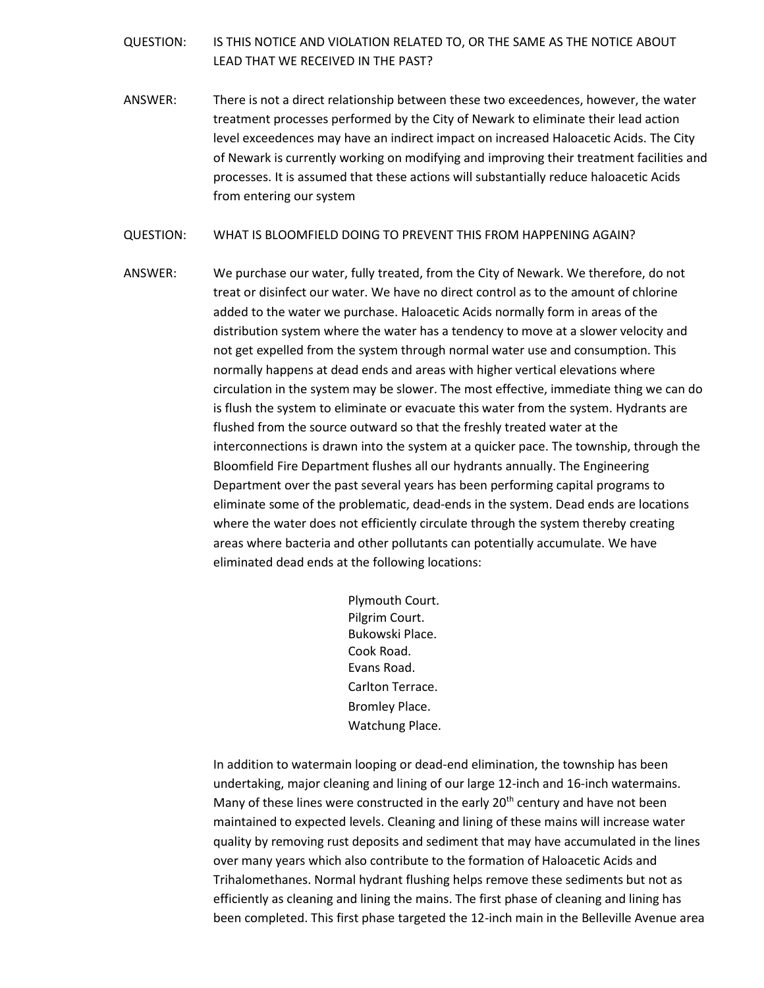### QUESTION: IS THIS NOTICE AND VIOLATION RELATED TO, OR THE SAME AS THE NOTICE ABOUT LEAD THAT WE RECEIVED IN THE PAST?

ANSWER: There is not a direct relationship between these two exceedences, however, the water treatment processes performed by the City of Newark to eliminate their lead action level exceedences may have an indirect impact on increased Haloacetic Acids. The City of Newark is currently working on modifying and improving their treatment facilities and processes. It is assumed that these actions will substantially reduce haloacetic Acids from entering our system

#### QUESTION: WHAT IS BLOOMFIELD DOING TO PREVENT THIS FROM HAPPENING AGAIN?

ANSWER: We purchase our water, fully treated, from the City of Newark. We therefore, do not treat or disinfect our water. We have no direct control as to the amount of chlorine added to the water we purchase. Haloacetic Acids normally form in areas of the distribution system where the water has a tendency to move at a slower velocity and not get expelled from the system through normal water use and consumption. This normally happens at dead ends and areas with higher vertical elevations where circulation in the system may be slower. The most effective, immediate thing we can do is flush the system to eliminate or evacuate this water from the system. Hydrants are flushed from the source outward so that the freshly treated water at the interconnections is drawn into the system at a quicker pace. The township, through the Bloomfield Fire Department flushes all our hydrants annually. The Engineering Department over the past several years has been performing capital programs to eliminate some of the problematic, dead-ends in the system. Dead ends are locations where the water does not efficiently circulate through the system thereby creating areas where bacteria and other pollutants can potentially accumulate. We have eliminated dead ends at the following locations:

> Plymouth Court. Pilgrim Court. Bukowski Place. Cook Road. Evans Road. Carlton Terrace. Bromley Place. Watchung Place.

In addition to watermain looping or dead-end elimination, the township has been undertaking, major cleaning and lining of our large 12-inch and 16-inch watermains. Many of these lines were constructed in the early 20<sup>th</sup> century and have not been maintained to expected levels. Cleaning and lining of these mains will increase water quality by removing rust deposits and sediment that may have accumulated in the lines over many years which also contribute to the formation of Haloacetic Acids and Trihalomethanes. Normal hydrant flushing helps remove these sediments but not as efficiently as cleaning and lining the mains. The first phase of cleaning and lining has been completed. This first phase targeted the 12-inch main in the Belleville Avenue area